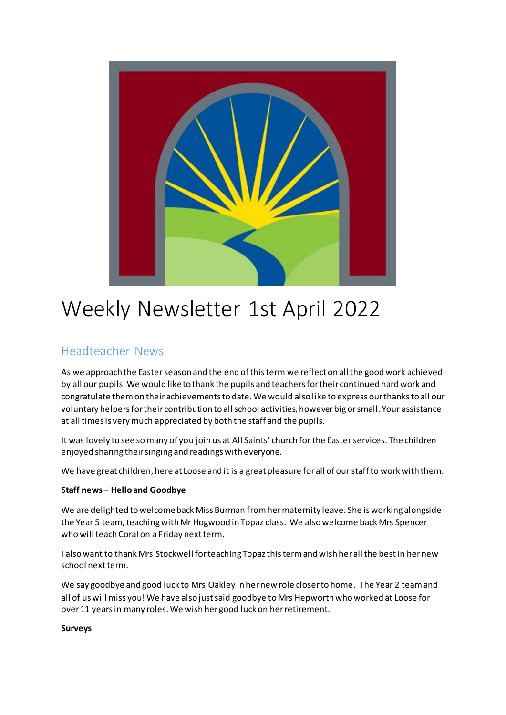

# Weekly Newsletter 1st April 2022

# Headteacher News

As we approach the Easter season and the end of this term we reflect on all the good work achieved by all our pupils. We would like to thank the pupils and teachers for their continued hard work and congratulate them on their achievements to date. We would also like to express our thanks to all our voluntary helpers for their contribution to all school activities, however big or small. Your assistance at all times is very much appreciated by both the staff and the pupils.

It was lovely to see so many of you join us at All Saints' church for the Easter services. The children enjoyed sharing their singing and readings with everyone.

We have great children, here at Loose and it is a great pleasure for all of our staff to work with them.

#### **Staff news – Hello and Goodbye**

We are delighted to welcome back Miss Burman from her maternity leave. She is working alongside the Year 5 team, teaching with Mr Hogwood in Topaz class. We also welcome back Mrs Spencer who will teach Coral on a Friday next term.

I also want to thank Mrs Stockwell for teaching Topaz this term and wish her all the best in her new school next term.

We say goodbye and good luck to Mrs Oakley in her new role closer to home. The Year 2 team and all of us will miss you! We have also just said goodbye to Mrs Hepworth who worked at Loose for over 11 years in many roles. We wish her good luck on her retirement.

#### **Surveys**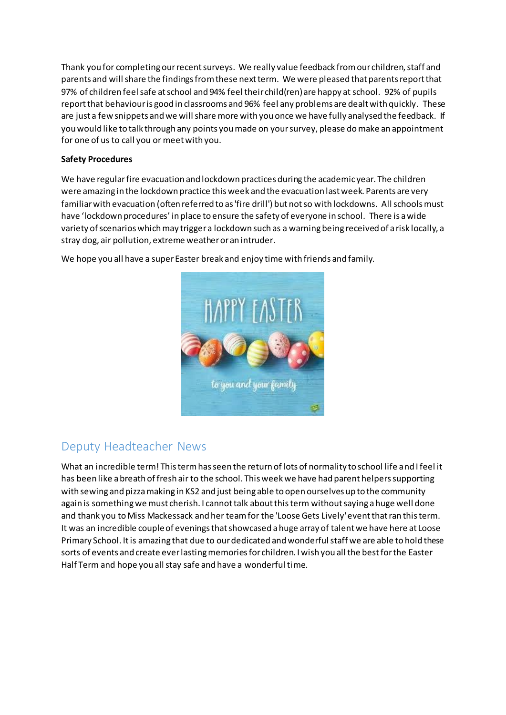Thank you for completing our recent surveys. We really value feedback from our children, staff and parents and will share the findings from these next term. We were pleased that parents report that 97% of children feel safe at school and 94% feel their child(ren) are happy at school. 92% of pupils report that behaviour is good in classrooms and 96% feel any problems are dealt with quickly. These are just a few snippets and we will share more with you once we have fully analysed the feedback. If you would like to talk through any points you made on your survey, please do make an appointment for one of us to call you or meet with you.

#### **Safety Procedures**

We have regular fire evacuation and lockdown practices during the academic year. The children were amazing in the lockdown practice this week and the evacuation last week. Parents are very familiar with evacuation (often referred to as 'fire drill') but not so with lockdowns. All schools must have 'lockdown procedures' in place to ensure the safety of everyone in school. There is a wide variety of scenarios which may trigger a lockdown such as a warning being received of a risk locally, a stray dog, air pollution, extreme weather or an intruder.



We hope you all have a super Easter break and enjoy time with friends and family.

# Deputy Headteacher News

What an incredible term! This term has seen the return of lots of normality to school life and I feel it has been like a breath of fresh air to the school. This week we have had parent helpers supporting with sewing and pizza making in KS2 and just being able to open ourselves up to the community again is something we must cherish. I cannot talk about this term without saying a huge well done and thank you to Miss Mackessack and her team for the 'Loose Gets Lively' event that ran this term. It was an incredible couple of evenings that showcased a huge array of talent we have here at Loose Primary School. It is amazing that due to our dedicated and wonderful staff we are able to hold these sorts of events and create ever lasting memories for children. I wish you all the best for the Easter Half Term and hope you all stay safe and have a wonderful time.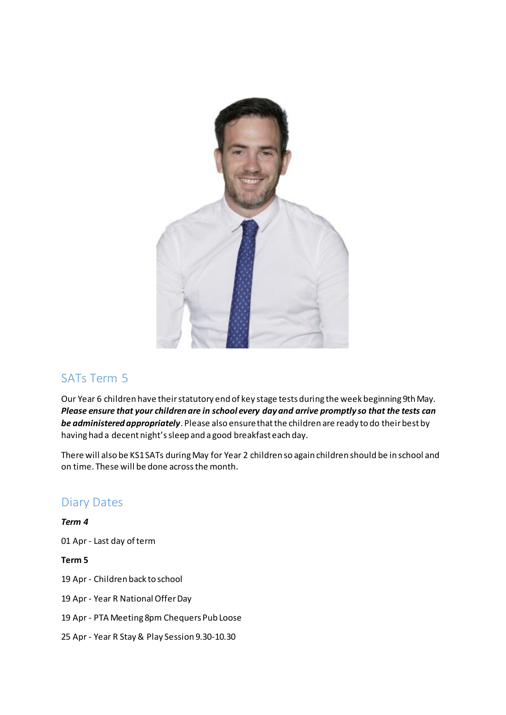

### SATs Term 5

Our Year 6 children have their statutory end of key stage tests during the week beginning 9th May. *Please ensure that your children are in school every day and arrive promptly so that the tests can be administered appropriately*. Please also ensure that the children are ready to do their best by having had a decent night's sleep and a good breakfast each day.

There will also be KS1 SATs during May for Year 2 children so again children should be in school and on time. These will be done across the month.

### Diary Dates

*Term 4*

01 Apr - Last day of term

**Term 5**

- 19 Apr Children back to school
- 19 Apr Year R National Offer Day
- 19 Apr PTA Meeting 8pm Chequers Pub Loose
- 25 Apr Year R Stay & Play Session 9.30-10.30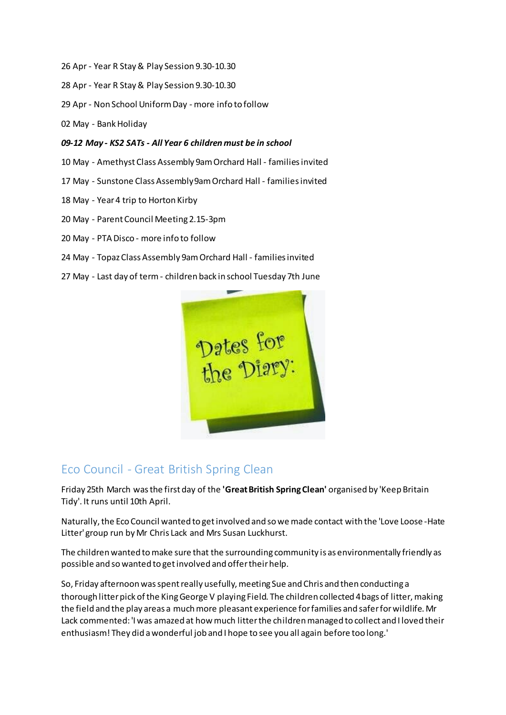- 26 Apr Year R Stay & Play Session 9.30-10.30
- 28 Apr Year R Stay & Play Session 9.30-10.30
- 29 Apr Non School Uniform Day more info to follow
- 02 May Bank Holiday
- *09-12 May - KS2 SATs - All Year 6 children must be in school*
- 10 May Amethyst Class Assembly 9am Orchard Hall families invited
- 17 May Sunstone Class Assembly 9am Orchard Hall families invited
- 18 May Year 4 trip to Horton Kirby
- 20 May Parent Council Meeting 2.15-3pm
- 20 May PTA Disco more info to follow
- 24 May Topaz Class Assembly 9am Orchard Hall families invited
- 27 May Last day of term children back in school Tuesday 7th June



#### Eco Council - Great British Spring Clean

Friday 25th March was the first day of the **'Great British Spring Clean'** organised by 'Keep Britain Tidy'. It runs until 10th April.

Naturally, the Eco Council wanted to get involved and so we made contact with the 'Love Loose -Hate Litter' group run by Mr Chris Lack and Mrs Susan Luckhurst.

The children wanted to make sure that the surrounding community is as environmentally friendly as possible and so wanted to get involved and offer their help.

So, Friday afternoon was spent really usefully, meeting Sue and Chris and then conducting a thorough litter pick of the King George V playing Field. The children collected 4 bags of litter, making the field and the play areas a much more pleasant experience for families and safer for wildlife. Mr Lack commented: 'I was amazed at how much litter the children managed to collect and I loved their enthusiasm! They did a wonderful job and I hope to see you all again before too long.'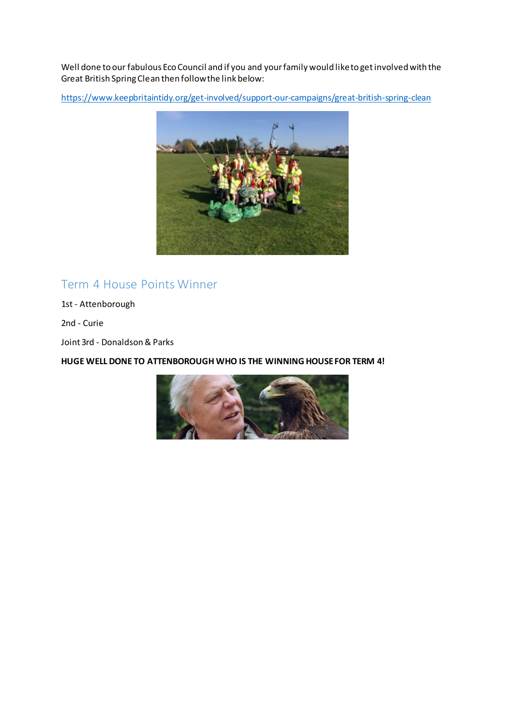Well done to our fabulous Eco Council and if you and your family would like to get involved with the Great British Spring Clean then follow the link below:

<https://www.keepbritaintidy.org/get-involved/support-our-campaigns/great-british-spring-clean>



### Term 4 House Points Winner

1st - Attenborough

2nd - Curie

Joint 3rd - Donaldson & Parks

**HUGE WELL DONE TO ATTENBOROUGH WHO IS THE WINNING HOUSE FOR TERM 4!**

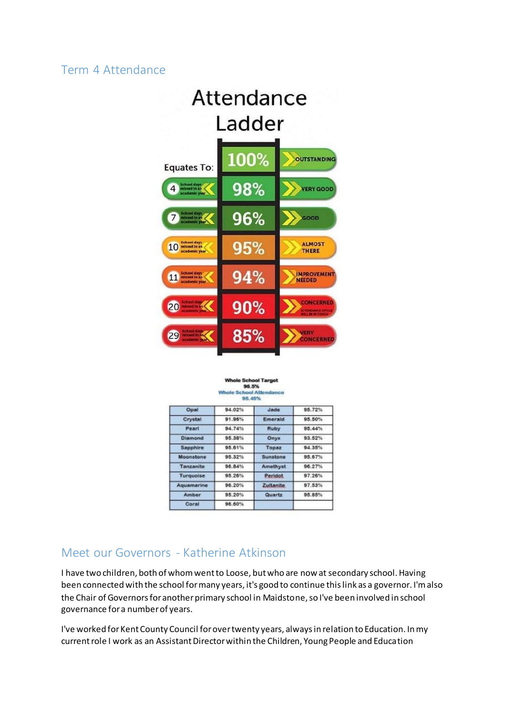#### Term 4 Attendance



#### 96.5% **School Att** 95,45%

| Opal         | 94.02% | Jade      | 95.72% |
|--------------|--------|-----------|--------|
|              |        |           |        |
| Crystal      | 91.96% | Emerald   | 95.50% |
| Pearl        | 94.74% | Ruby      | 95.44% |
| Diamond      | 95.38% | Onyx      | 93.52% |
| Sapphire     | 95.61% | Topaz     | 94.35% |
| Moonstone    | 95.32% | Sunstone  | 95.67% |
| Tanzanite    | 96.84% | Amethyst  | 96.27% |
| Turquoise    | 95.26% | Peridot   | 97.26% |
| Aquamarine   | 96.20% | Zultanite | 97.53% |
| <b>Amber</b> | 95.20% | Quartz    | 95.85% |
| Coral        | 96.60% |           |        |

# Meet our Governors - Katherine Atkinson

I have two children, both of whom went to Loose, but who are now at secondary school. Having been connected with the school for many years, it's good to continue this link as a governor. I'm also the Chair of Governors for another primary school in Maidstone, so I've been involved in school governance for a number of years.

I've worked for Kent County Council for over twenty years, always in relation to Education. In my current role I work as an Assistant Director within the Children, Young People and Education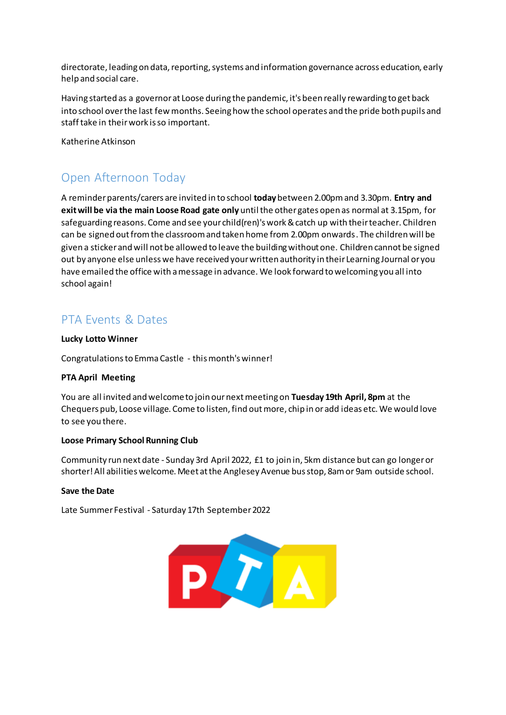directorate, leading on data, reporting, systems and information governance across education, early help and social care.

Having started as a governor at Loose during the pandemic, it's been really rewarding to get back into school over the last few months. Seeing how the school operates and the pride both pupils and staff take in their work is so important.

Katherine Atkinson

# Open Afternoon Today

A reminder parents/carers are invited in to school **today** between 2.00pm and 3.30pm. **Entry and exit will be via the main Loose Road gate only** until the other gates open as normal at 3.15pm, for safeguarding reasons. Come and see your child(ren)'s work & catch up with their teacher. Children can be signed out from the classroom and taken home from 2.00pm onwards. The children will be given a sticker and will not be allowed to leave the building without one. Children cannot be signed out by anyone else unless we have received your written authority in their Learning Journal or you have emailed the office with a message in advance. We look forward to welcoming you all into school again!

# PTA Events & Dates

#### **Lucky Lotto Winner**

Congratulations to Emma Castle - this month's winner!

#### **PTA April Meeting**

You are all invited and welcome to join our next meeting on **Tuesday 19th April, 8pm** at the Chequers pub, Loose village. Come to listen, find out more, chip in or add ideas etc. We would love to see you there.

#### **Loose Primary School Running Club**

Community run next date - Sunday 3rd April 2022, £1 to join in, 5km distance but can go longer or shorter! All abilities welcome. Meet at the Anglesey Avenue bus stop, 8am or 9am outside school.

#### **Save the Date**

Late Summer Festival - Saturday 17th September 2022

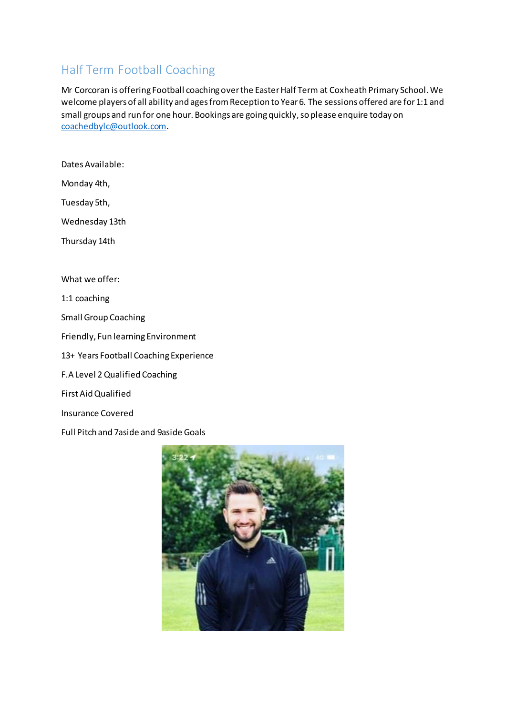# Half Term Football Coaching

Mr Corcoran is offering Football coaching over the Easter Half Term at Coxheath Primary School. We welcome players of all ability and ages from Reception to Year 6. The sessions offered are for 1:1 and small groups and run for one hour. Bookings are going quickly, so please enquire today on [coachedbylc@outlook.com](mailto:coachedbylc@outlook.com).

Dates Available:

Monday 4th,

Tuesday 5th,

Wednesday 13th

Thursday 14th

What we offer:

1:1 coaching

Small Group Coaching

Friendly, Fun learning Environment

13+ Years Football Coaching Experience

F.A Level 2 Qualified Coaching

First Aid Qualified

Insurance Covered

Full Pitch and 7aside and 9aside Goals